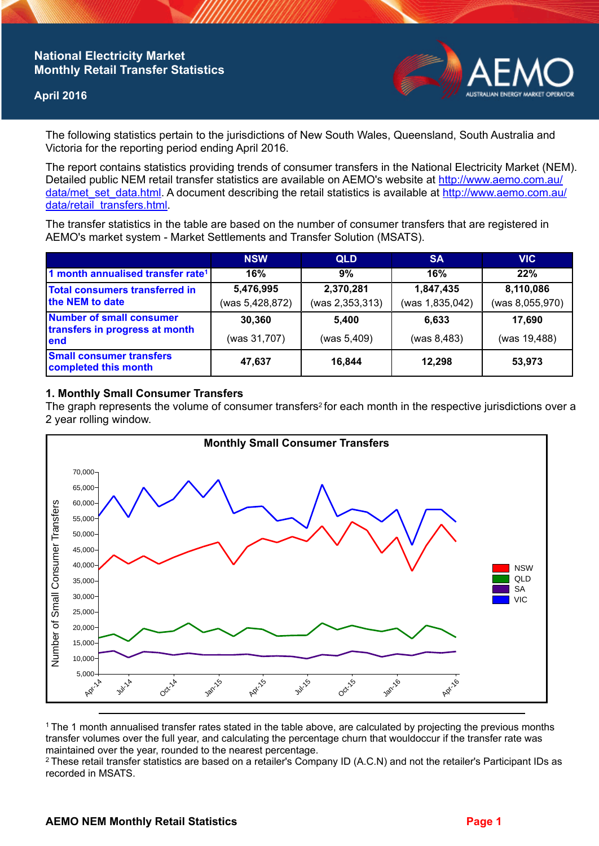# **National Electricity Market Monthly Retail Transfer Statistics**

## **April 2016**



The following statistics pertain to the jurisdictions of New South Wales, Queensland, South Australia and Victoria for the reporting period ending April 2016.

The report contains statistics providing trends of consumer transfers in the National Electricity Market (NEM). Detailed public NEM retail transfer statistics are available on AEMO's website at [http://www.aemo.com.au/](http://www.aemo.com.au/data/met_set_data.html) [data/met\\_set\\_data.html](http://www.aemo.com.au/data/met_set_data.html). A document describing the retail statistics is available at [http://www.aemo.com.au/](http://www.aemo.com.au/data/retail_transfers.html) [data/retail\\_transfers.html](http://www.aemo.com.au/data/retail_transfers.html).

The transfer statistics in the table are based on the number of consumer transfers that are registered in AEMO's market system - Market Settlements and Transfer Solution (MSATS).

|                                                                           | <b>NSW</b>                   | <b>QLD</b>                   | <b>SA</b>                    | <b>VIC</b>                   |
|---------------------------------------------------------------------------|------------------------------|------------------------------|------------------------------|------------------------------|
| 1 month annualised transfer rate <sup>1</sup>                             | 16%                          | 9%                           | 16%                          | 22%                          |
| Total consumers transferred in<br>the NEM to date                         | 5,476,995<br>(was 5,428,872) | 2,370,281<br>(was 2,353,313) | 1,847,435<br>(was 1,835,042) | 8,110,086<br>(was 8,055,970) |
| <b>Number of small consumer</b><br>transfers in progress at month<br>lend | 30,360                       | 5.400                        | 6.633                        | 17,690                       |
|                                                                           | (was 31,707)                 | (was 5,409)                  | (was 8,483)                  | (was 19,488)                 |
| <b>Small consumer transfers</b><br>completed this month                   | 47,637                       | 16,844                       | 12,298                       | 53,973                       |

## **1. Monthly Small Consumer Transfers**

The graph represents the volume of consumer transfers<sup>2</sup> for each month in the respective jurisdictions over a 2 year rolling window.



<sup>1</sup>The 1 month annualised transfer rates stated in the table above, are calculated by projecting the previous months transfer volumes over the full year, and calculating the percentage churn that wouldoccur if the transfer rate was maintained over the year, rounded to the nearest percentage.

<sup>2</sup> These retail transfer statistics are based on a retailer's Company ID (A.C.N) and not the retailer's Participant IDs as recorded in MSATS.